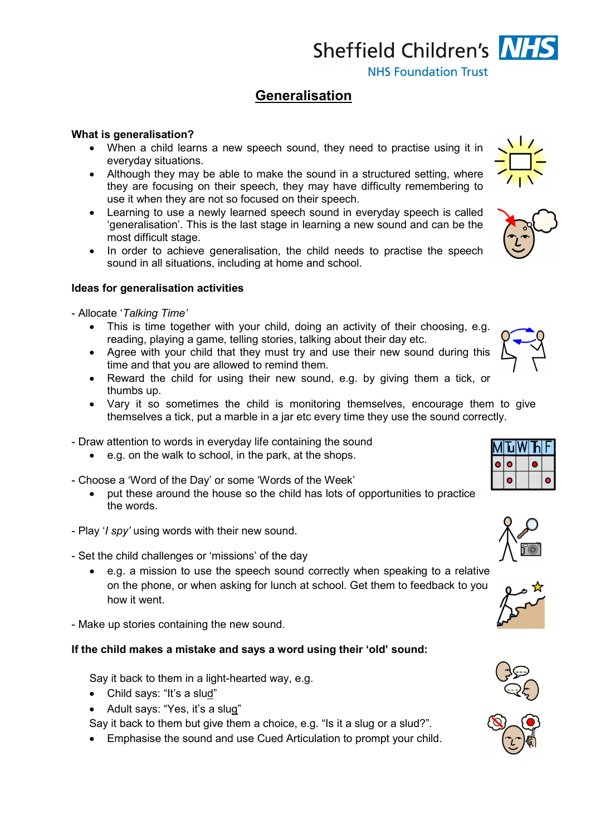Sheffield Children's NHS **NHS Foundation Trust** 

## **Generalisation**

## **What is generalisation?**

- When a child learns a new speech sound, they need to practise using it in everyday situations.
- Although they may be able to make the sound in a structured setting, where they are focusing on their speech, they may have difficulty remembering to use it when they are not so focused on their speech.
- Learning to use a newly learned speech sound in everyday speech is called 'generalisation'. This is the last stage in learning a new sound and can be the most difficult stage.
- In order to achieve generalisation, the child needs to practise the speech sound in all situations, including at home and school.

## **Ideas for generalisation activities**

- Allocate '*Talking Time'*

- This is time together with your child, doing an activity of their choosing, e.g. reading, playing a game, telling stories, talking about their day etc.
- Agree with your child that they must try and use their new sound during this time and that you are allowed to remind them.
- Reward the child for using their new sound, e.g. by giving them a tick, or thumbs up.
- Vary it so sometimes the child is monitoring themselves, encourage them to give themselves a tick, put a marble in a jar etc every time they use the sound correctly.
- Draw attention to words in everyday life containing the sound
	- e.g. on the walk to school, in the park, at the shops.
- Choose a 'Word of the Day' or some 'Words of the Week'
	- put these around the house so the child has lots of opportunities to practice the words.
- Play '*I spy'* using words with their new sound.
- Set the child challenges or 'missions' of the day
	- e.g. a mission to use the speech sound correctly when speaking to a relative on the phone, or when asking for lunch at school. Get them to feedback to you how it went.
- Make up stories containing the new sound.

## **If the child makes a mistake and says a word using their 'old' sound:**

Say it back to them in a light-hearted way, e.g.

- Child says: "It's a slud"
- Adult says: "Yes, it's a slug"

Say it back to them but give them a choice, e.g. "Is it a slug or a slud?".

• Emphasise the sound and use Cued Articulation to prompt your child.